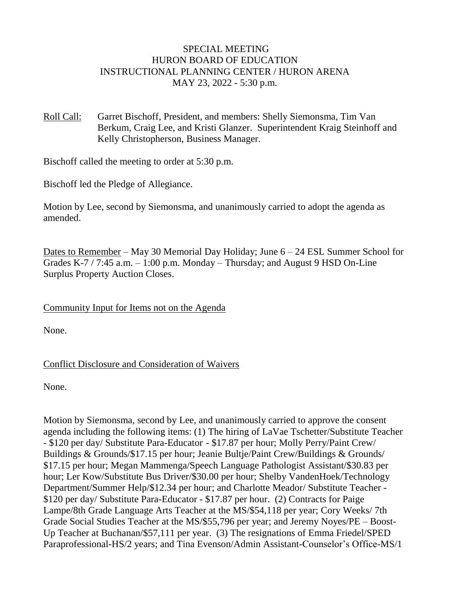#### SPECIAL MEETING HURON BOARD OF EDUCATION INSTRUCTIONAL PLANNING CENTER / HURON ARENA MAY 23, 2022 - 5:30 p.m.

Roll Call: Garret Bischoff, President, and members: Shelly Siemonsma, Tim Van Berkum, Craig Lee, and Kristi Glanzer. Superintendent Kraig Steinhoff and Kelly Christopherson, Business Manager.

Bischoff called the meeting to order at 5:30 p.m.

Bischoff led the Pledge of Allegiance.

Motion by Lee, second by Siemonsma, and unanimously carried to adopt the agenda as amended.

Dates to Remember – May 30 Memorial Day Holiday; June 6 – 24 ESL Summer School for Grades K-7 / 7:45 a.m.  $-1:00$  p.m. Monday – Thursday; and August 9 HSD On-Line Surplus Property Auction Closes.

Community Input for Items not on the Agenda

None.

#### Conflict Disclosure and Consideration of Waivers

None.

Motion by Siemonsma, second by Lee, and unanimously carried to approve the consent agenda including the following items: (1) The hiring of LaVae Tschetter/Substitute Teacher - \$120 per day/ Substitute Para-Educator - \$17.87 per hour; Molly Perry/Paint Crew/ Buildings & Grounds/\$17.15 per hour; Jeanie Bultje/Paint Crew/Buildings & Grounds/ \$17.15 per hour; Megan Mammenga/Speech Language Pathologist Assistant/\$30.83 per hour; Ler Kow/Substitute Bus Driver/\$30.00 per hour; Shelby VandenHoek/Technology Department/Summer Help/\$12.34 per hour; and Charlotte Meador/ Substitute Teacher - \$120 per day/ Substitute Para-Educator - \$17.87 per hour. (2) Contracts for Paige Lampe/8th Grade Language Arts Teacher at the MS/\$54,118 per year; Cory Weeks/ 7th Grade Social Studies Teacher at the MS/\$55,796 per year; and Jeremy Noyes/PE – Boost-Up Teacher at Buchanan/\$57,111 per year. (3) The resignations of Emma Friedel/SPED Paraprofessional-HS/2 years; and Tina Evenson/Admin Assistant-Counselor's Office-MS/1